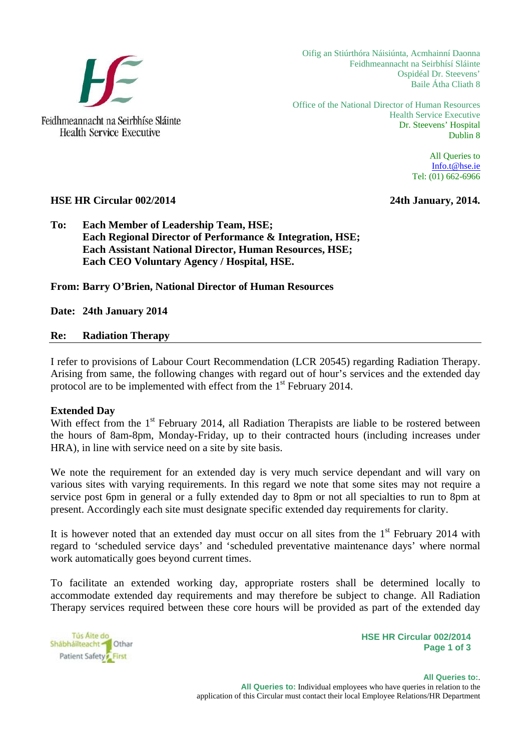

**Health Service Executive** 

Oifig an Stiúrthóra Náisiúnta, Acmhainní Daonna Feidhmeannacht na Seirbhísí Sláinte Ospidéal Dr. Steevens' Baile Átha Cliath 8

Office of the National Director of Human Resources Health Service Executive Dr. Steevens' Hospital Dublin 8

> All Queries to Info.t@hse.ie Tel: (01) 662-6966

### **HSE HR Circular 002/2014 24th January, 2014.**

## **To: Each Member of Leadership Team, HSE; Each Regional Director of Performance & Integration, HSE; Each Assistant National Director, Human Resources, HSE; Each CEO Voluntary Agency / Hospital, HSE.**

**From: Barry O'Brien, National Director of Human Resources** 

**Date: 24th January 2014** 

### **Re: Radiation Therapy**

I refer to provisions of Labour Court Recommendation (LCR 20545) regarding Radiation Therapy. Arising from same, the following changes with regard out of hour's services and the extended day protocol are to be implemented with effect from the  $1<sup>st</sup>$  February 2014.

### **Extended Day**

With effect from the  $1<sup>st</sup>$  February 2014, all Radiation Therapists are liable to be rostered between the hours of 8am-8pm, Monday-Friday, up to their contracted hours (including increases under HRA), in line with service need on a site by site basis.

We note the requirement for an extended day is very much service dependant and will vary on various sites with varying requirements. In this regard we note that some sites may not require a service post 6pm in general or a fully extended day to 8pm or not all specialties to run to 8pm at present. Accordingly each site must designate specific extended day requirements for clarity.

It is however noted that an extended day must occur on all sites from the  $1<sup>st</sup>$  February 2014 with regard to 'scheduled service days' and 'scheduled preventative maintenance days' where normal work automatically goes beyond current times.

To facilitate an extended working day, appropriate rosters shall be determined locally to accommodate extended day requirements and may therefore be subject to change. All Radiation Therapy services required between these core hours will be provided as part of the extended day

Tús Aite do Shábháilteacht <sup>M</sup>Othar Patient Safety First

**HSE HR Circular 002/2014 Page 1 of 3**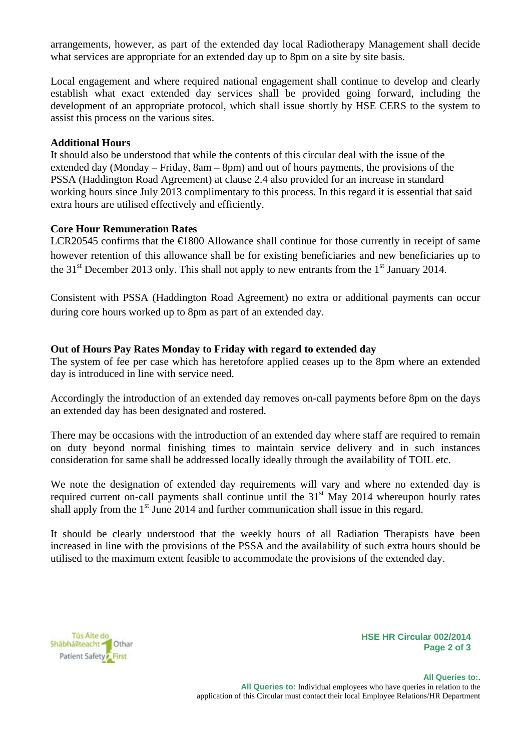arrangements, however, as part of the extended day local Radiotherapy Management shall decide what services are appropriate for an extended day up to 8pm on a site by site basis.

Local engagement and where required national engagement shall continue to develop and clearly establish what exact extended day services shall be provided going forward, including the development of an appropriate protocol, which shall issue shortly by HSE CERS to the system to assist this process on the various sites.

## **Additional Hours**

It should also be understood that while the contents of this circular deal with the issue of the extended day (Monday – Friday,  $8am - 8pm$ ) and out of hours payments, the provisions of the PSSA (Haddington Road Agreement) at clause 2.4 also provided for an increase in standard working hours since July 2013 complimentary to this process. In this regard it is essential that said extra hours are utilised effectively and efficiently.

## **Core Hour Remuneration Rates**

LCR20545 confirms that the €1800 Allowance shall continue for those currently in receipt of same however retention of this allowance shall be for existing beneficiaries and new beneficiaries up to the 31<sup>st</sup> December 2013 only. This shall not apply to new entrants from the 1<sup>st</sup> January 2014.

Consistent with PSSA (Haddington Road Agreement) no extra or additional payments can occur during core hours worked up to 8pm as part of an extended day.

# **Out of Hours Pay Rates Monday to Friday with regard to extended day**

The system of fee per case which has heretofore applied ceases up to the 8pm where an extended day is introduced in line with service need.

Accordingly the introduction of an extended day removes on-call payments before 8pm on the days an extended day has been designated and rostered.

There may be occasions with the introduction of an extended day where staff are required to remain on duty beyond normal finishing times to maintain service delivery and in such instances consideration for same shall be addressed locally ideally through the availability of TOIL etc.

We note the designation of extended day requirements will vary and where no extended day is required current on-call payments shall continue until the  $31<sup>st</sup>$  May 2014 whereupon hourly rates shall apply from the  $1<sup>st</sup>$  June 2014 and further communication shall issue in this regard.

It should be clearly understood that the weekly hours of all Radiation Therapists have been increased in line with the provisions of the PSSA and the availability of such extra hours should be utilised to the maximum extent feasible to accommodate the provisions of the extended day.



**HSE HR Circular 002/2014 Page 2 of 3**